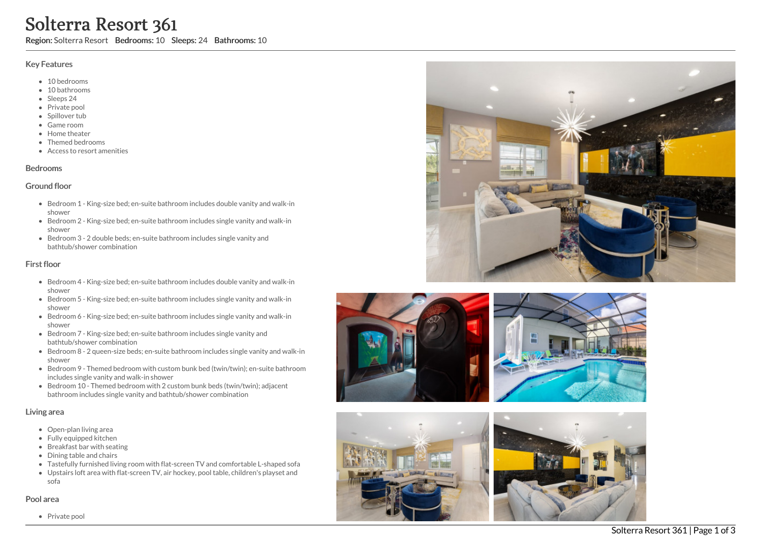# **Solterra**<br>
Region: Solterra Res<br>
Key Features<br>
• 10 bedrooms<br>
• 10 bathrooms<br>
• Sleeps 24<br>
• Private pool<br>
• Spillover tub<br>
• Game room<br>
• Home theater<br>
• Themed bedroom<br>
• Access to resort<br>
Bedrooms<br>
Screen 1 - Kin<br>
show Resort 361

Region: Solterra Resort Bedrooms: 10 Sleeps: 24 Bathrooms: 10

### Key Features

- 10 bedrooms
- 10 bathrooms
- Sleeps 24
- Private pool
- Spillover tub
- Game room
- Home theate r
- Themed bedrooms
- Access to resort amenities

### **Bedrooms**

### Ground floor

- Bedroom 1 King-size bed; en-suite bathroom includes double vanity and walk-in s h o w e r
- Bedroom 2 King-size bed; en-suite bathroom includes single vanity and walk-in s h o w e r
- Bedroom 3 2 double beds; en-suite bathroom includes single vanity and bathtub/shower combination

## First floor

- Bedroom 4 King-size bed; en-suite bathroom includes double vanity and walk-in s h o w e r
- Bedroom 5 King-size bed; en-suite bathroom includes single vanity and walk-in s h o w e r
- Bedroom 6 King-size bed; en-suite bathroom includes single vanity and walk-in s h o w e r
- Bedroom 7 King-size bed; en-suite bathroom includes single vanity and bathtub/shower combination
- Bedroom 8 2 queen-size beds; en-suite bathroom includes single vanity and walk-in s h o w e r
- Bedroom 9 Themed bedroom with custom bunk bed (twin/twin); en-suite bathroom includes single vanity and walk-in shower
- Bedroom 10 Themed bedroom with 2 custom bunk beds (twin/twin); adjacent bathroom includes single vanity and bathtub/shower combination

### Living area

- Open-plan living area
- Fully equipped kitchen
- Breakfast bar with seating
- Dining table and chairs
- Tastefully furnished living room with flat-screen TV and comfortable L-shaped sofa
- Upstairs loft area with flat-screen TV, air hockey, pool table, children's playset and s o f a

### Pool area











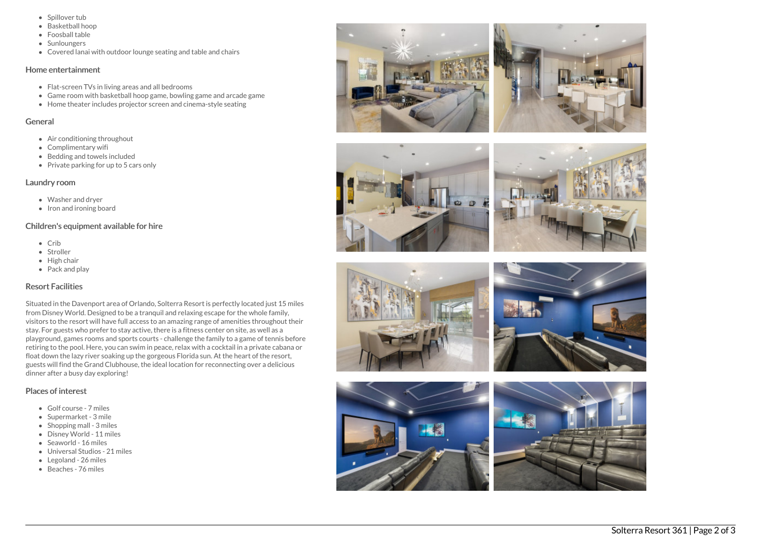- Spillover tub
- Basketball hoop
- Foosball table
- Sunloungers
- Covered lanai with outdoor lounge seating and table and chairs

### Home entertainment

- Flat-screen TVs in living areas and all bedrooms
- Game room with basketball hoop game, bowling game and arcade game
- Home theater includes projector screen and cinema-style seating

### General

- Air conditioning throughout
- Complimentary wifi
- Bedding and towels included
- Private parking for up to 5 cars only

### Laundry room

- Washer and dryer
- Iron and ironing board

# Children's equipment available for hire

- Crib
- Stroller
- $\bullet$  High chair
- Pack and play

# Resort Facilities

Situated in the Davenport area of Orlando, Solterra Resort is perfectly located just 15 miles from Disney World. Designed to be a tranquil and relaxing escape for the whole family, visitors to the resort will have full access to an amazing range of amenities throughout their stay. For guests who prefer to stay active, there is a fitness center on site, as well as a playground, games rooms and sports courts - challenge the family to a game of tennis before retiring to the pool. Here, you can swim in peace, relax with a cocktail in a private cabana or float down the lazy river soaking up the gorgeous Florida sun. At the heart of the resort, guests will find the Grand Clubhouse, the ideal location for reconnecting over a delicious dinner after a busy day exploring!

# Places of interest

- Golf course 7 miles
- Supermarket 3 mile
- $\bullet$  Shopping mall 3 miles
- Disney World 11 miles
- Seaworld 16 miles
- Universal Studios 21 miles
- Legoland 26 miles
- Beaches 76 miles